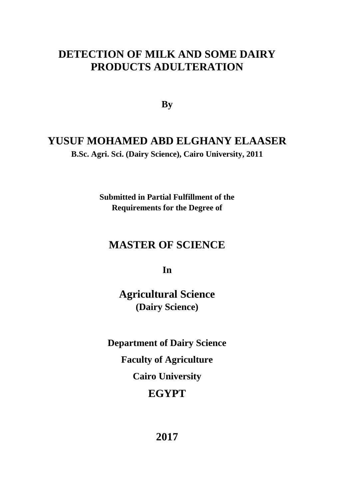## **DETECTION OF MILK AND SOME DAIRY PRODUCTS ADULTERATION**

**By**

## **YUSUF MOHAMED ABD ELGHANY ELAASER**

**B.Sc. Agri. Sci. (Dairy Science), Cairo University, 2011**

**Submitted in Partial Fulfillment of the Requirements for the Degree of**

## **MASTER OF SCIENCE**

**In**

**Agricultural Science (Dairy Science)**

**Department of Dairy Science Faculty of Agriculture Cairo University EGYPT**

**2017**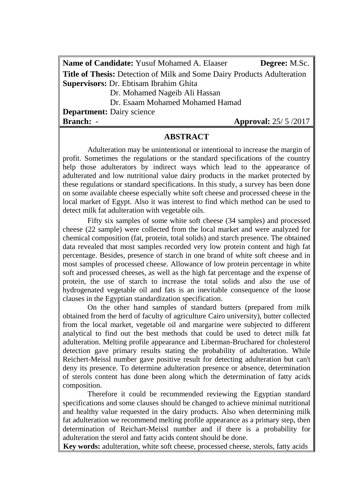**Name of Candidate:** Yusuf Mohamed A. Elaaser **Degree:** M.Sc. **Title of Thesis:** Detection of Milk and Some Dairy Products Adulteration **Supervisors:** Dr. Ebtisam Ibrahim Ghita

Dr. Mohamed Nageib Ali Hassan

Dr. Esaam Mohamed Mohamed Hamad

**Department:** Dairy science **Branch:** - **Approval:**  $25/5/2017$ 

#### **ABSTRACT**

Adulteration may be unintentional or intentional to increase the margin of profit. Sometimes the regulations or the standard specifications of the country help those adulterators by indirect ways which lead to the appearance of adulterated and low nutritional value dairy products in the market protected by these regulations or standard specifications. In this study, a survey has been done on some available cheese especially white soft cheese and processed cheese in the local market of Egypt. Also it was interest to find which method can be used to detect milk fat adulteration with vegetable oils.

Fifty six samples of some white soft cheese (34 samples) and processed cheese (22 sample) were collected from the local market and were analyzed for chemical composition (fat, protein, total solids) and starch presence. The obtained data revealed that most samples recorded very low protein content and high fat percentage. Besides, presence of starch in one brand of white soft cheese and in most samples of processed cheese. Allowance of low protein percentage in white soft and processed cheeses, as well as the high fat percentage and the expense of protein, the use of starch to increase the total solids and also the use of hydrogenated vegetable oil and fats is an inevitable consequence of the loose clauses in the Egyptian standardization specification.

On the other hand samples of standard butters (prepared from milk obtained from the herd of faculty of agriculture Cairo university), butter collected from the local market, vegetable oil and margarine were subjected to different analytical to find out the best methods that could be used to detect milk fat adulteration. Melting profile appearance and Liberman-Bruchared for cholesterol detection gave primary results stating the probability of adulteration. While Reichert-Meissl number gave positive result for detecting adulteration but can't deny its presence. To determine adulteration presence or absence, determination of sterols content has done been along which the determination of fatty acids composition.

Therefore it could be recommended reviewing the Egyptian standard specifications and some clauses should be changed to achieve minimal nutritional and healthy value requested in the dairy products. Also when determining milk fat adulteration we recommend melting profile appearance as a primary step, then determination of Reichart-Meissl number and if there is a probability for adulteration the sterol and fatty acids content should be done.

**Key words:** adulteration, white soft cheese, processed cheese, sterols, fatty acids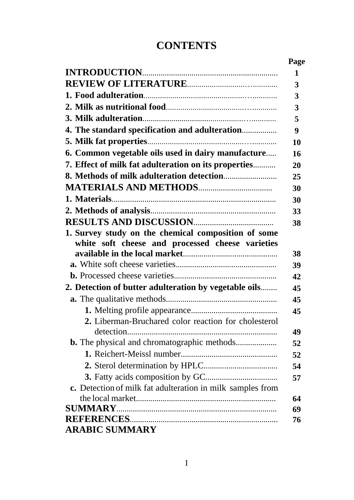# **CONTENTS**

|                                                            | Page |
|------------------------------------------------------------|------|
|                                                            | 1    |
|                                                            | 3    |
|                                                            | 3    |
|                                                            | 3    |
|                                                            | 5    |
| 4. The standard specification and adulteration             | 9    |
|                                                            | 10   |
| 6. Common vegetable oils used in dairy manufacture         | 16   |
| 7. Effect of milk fat adulteration on its properties       | 20   |
|                                                            | 25   |
|                                                            | 30   |
|                                                            | 30   |
|                                                            | 33   |
|                                                            | 38   |
| 1. Survey study on the chemical composition of some        |      |
| white soft cheese and processed cheese varieties           |      |
|                                                            | 38   |
|                                                            | 39   |
|                                                            | 42   |
| 2. Detection of butter adulteration by vegetable oils      | 45   |
|                                                            | 45   |
|                                                            | 45   |
| 2. Liberman-Bruchared color reaction for cholesterol       |      |
|                                                            | 49   |
| <b>b.</b> The physical and chromatographic methods         | 52   |
|                                                            | 52   |
|                                                            | 54   |
|                                                            | 57   |
| c. Detection of milk fat adulteration in milk samples from |      |
|                                                            | 64   |
| <b>SUMMARY.</b>                                            | 69   |
|                                                            | 76   |
| <b>ARABIC SUMMARY</b>                                      |      |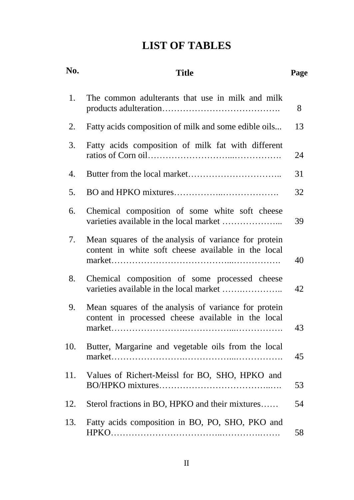# **LIST OF TABLES**

| No. | <b>Title</b>                                                                                                |    |  |  |
|-----|-------------------------------------------------------------------------------------------------------------|----|--|--|
| 1.  | The common adulterants that use in milk and milk                                                            | 8  |  |  |
| 2.  | Fatty acids composition of milk and some edible oils                                                        | 13 |  |  |
| 3.  | Fatty acids composition of milk fat with different                                                          |    |  |  |
| 4.  |                                                                                                             | 31 |  |  |
| 5.  |                                                                                                             | 32 |  |  |
| 6.  | Chemical composition of some white soft cheese                                                              | 39 |  |  |
| 7.  | Mean squares of the analysis of variance for protein<br>content in white soft cheese available in the local | 40 |  |  |
| 8.  | Chemical composition of some processed cheese                                                               | 42 |  |  |
| 9.  | Mean squares of the analysis of variance for protein<br>content in processed cheese available in the local  | 43 |  |  |
| 10. | Butter, Margarine and vegetable oils from the local                                                         | 45 |  |  |
| 11. | Values of Richert-Meissl for BO, SHO, HPKO and                                                              | 53 |  |  |
| 12. | Sterol fractions in BO, HPKO and their mixtures                                                             | 54 |  |  |
| 13. | Fatty acids composition in BO, PO, SHO, PKO and                                                             | 58 |  |  |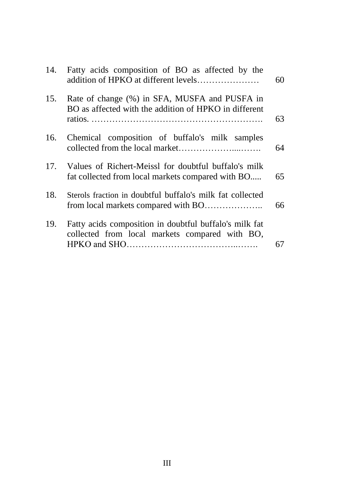|     | 14. Fatty acids composition of BO as affected by the<br>addition of HPKO at different levels              | 60 |
|-----|-----------------------------------------------------------------------------------------------------------|----|
| 15. | Rate of change (%) in SFA, MUSFA and PUSFA in<br>BO as affected with the addition of HPKO in different    | 63 |
| 16. | Chemical composition of buffalo's milk samples                                                            | 64 |
| 17. | Values of Richert-Meissl for doubtful buffalo's milk<br>fat collected from local markets compared with BO | 65 |
| 18. | Sterols fraction in doubtful buffalo's milk fat collected                                                 | 66 |
| 19. | Fatty acids composition in doubtful buffalo's milk fat<br>collected from local markets compared with BO,  | 67 |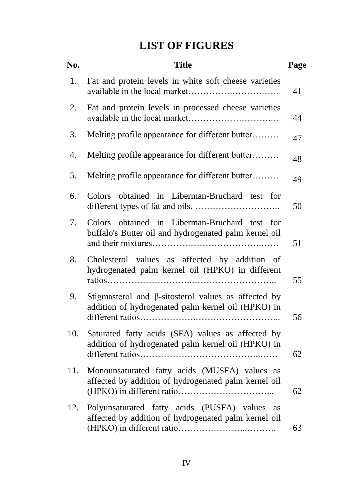# **LIST OF FIGURES**

| No. | <b>Title</b>                                                                                                     |    |  |
|-----|------------------------------------------------------------------------------------------------------------------|----|--|
| 1.  | Fat and protein levels in white soft cheese varieties                                                            | 41 |  |
| 2.  | Fat and protein levels in processed cheese varieties                                                             | 44 |  |
| 3.  | Melting profile appearance for different butter                                                                  | 47 |  |
| 4.  | Melting profile appearance for different butter                                                                  | 48 |  |
| 5.  | Melting profile appearance for different butter                                                                  | 49 |  |
| 6.  | Colors obtained in Liberman-Bruchard test for                                                                    | 50 |  |
| 7.  | Colors obtained in Liberman-Bruchard test for<br>buffalo's Butter oil and hydrogenated palm kernel oil           | 51 |  |
| 8.  | Cholesterol values as affected by addition of<br>hydrogenated palm kernel oil (HPKO) in different                | 55 |  |
| 9.  | Stigmasterol and $\beta$ -sitosterol values as affected by<br>addition of hydrogenated palm kernel oil (HPKO) in | 56 |  |
| 10. | Saturated fatty acids (SFA) values as affected by<br>addition of hydrogenated palm kernel oil (HPKO) in          | 62 |  |
| 11. | Monounsaturated fatty acids (MUSFA) values as<br>affected by addition of hydrogenated palm kernel oil            | 62 |  |
| 12. | Polyunsaturated fatty acids (PUSFA) values as<br>affected by addition of hydrogenated palm kernel oil            | 63 |  |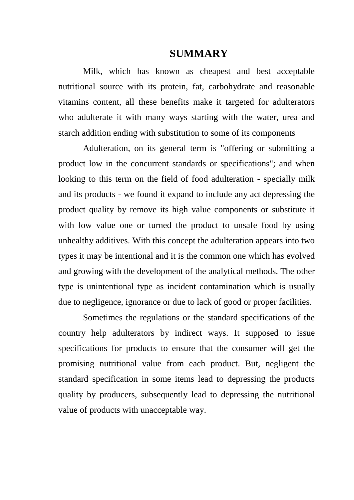## **SUMMARY**

Milk, which has known as cheapest and best acceptable nutritional source with its protein, fat, carbohydrate and reasonable vitamins content, all these benefits make it targeted for adulterators who adulterate it with many ways starting with the water, urea and starch addition ending with substitution to some of its components

Adulteration, on its general term is "offering or submitting a product low in the concurrent standards or specifications"; and when looking to this term on the field of food adulteration - specially milk and its products - we found it expand to include any act depressing the product quality by remove its high value components or substitute it with low value one or turned the product to unsafe food by using unhealthy additives. With this concept the adulteration appears into two types it may be intentional and it is the common one which has evolved and growing with the development of the analytical methods. The other type is unintentional type as incident contamination which is usually due to negligence, ignorance or due to lack of good or proper facilities.

Sometimes the regulations or the standard specifications of the country help adulterators by indirect ways. It supposed to issue specifications for products to ensure that the consumer will get the promising nutritional value from each product. But, negligent the standard specification in some items lead to depressing the products quality by producers, subsequently lead to depressing the nutritional value of products with unacceptable way.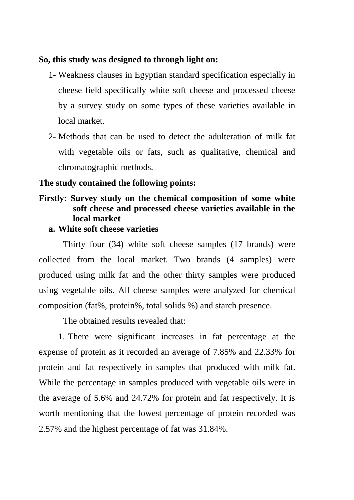### **So, this study was designed to through light on:**

- 1- Weakness clauses in Egyptian standard specification especially in cheese field specifically white soft cheese and processed cheese by a survey study on some types of these varieties available in local market.
- 2- Methods that can be used to detect the adulteration of milk fat with vegetable oils or fats, such as qualitative, chemical and chromatographic methods.

#### **The study contained the following points:**

## **Firstly: Survey study on the chemical composition of some white soft cheese and processed cheese varieties available in the local market**

### **a. White soft cheese varieties**

Thirty four (34) white soft cheese samples (17 brands) were collected from the local market. Two brands (4 samples) were produced using milk fat and the other thirty samples were produced using vegetable oils. All cheese samples were analyzed for chemical composition (fat%, protein%, total solids %) and starch presence.

The obtained results revealed that:

1. There were significant increases in fat percentage at the expense of protein as it recorded an average of 7.85% and 22.33% for protein and fat respectively in samples that produced with milk fat. While the percentage in samples produced with vegetable oils were in the average of 5.6% and 24.72% for protein and fat respectively. It is worth mentioning that the lowest percentage of protein recorded was 2.57% and the highest percentage of fat was 31.84%.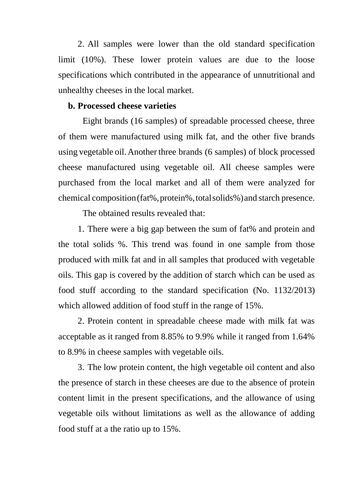2. All samples were lower than the old standard specification limit (10%). These lower protein values are due to the loose specifications which contributed in the appearance of unnutritional and unhealthy cheeses in the local market.

#### **b. Processed cheese varieties**

Eight brands (16 samples) of spreadable processed cheese, three of them were manufactured using milk fat, and the other five brands using vegetable oil.Another three brands (6 samples) of block processed cheese manufactured using vegetable oil. All cheese samples were purchased from the local market and all of them were analyzed for chemical composition(fat%,protein%,totalsolids%)and starch presence.

The obtained results revealed that:

1. There were a big gap between the sum of fat% and protein and the total solids %. This trend was found in one sample from those produced with milk fat and in all samples that produced with vegetable oils. This gap is covered by the addition of starch which can be used as food stuff according to the standard specification (No. 1132/2013) which allowed addition of food stuff in the range of 15%.

2. Protein content in spreadable cheese made with milk fat was acceptable as it ranged from 8.85% to 9.9% while it ranged from 1.64% to 8.9% in cheese samples with vegetable oils.

3. The low protein content, the high vegetable oil content and also the presence of starch in these cheeses are due to the absence of protein content limit in the present specifications, and the allowance of using vegetable oils without limitations as well as the allowance of adding food stuff at a the ratio up to 15%.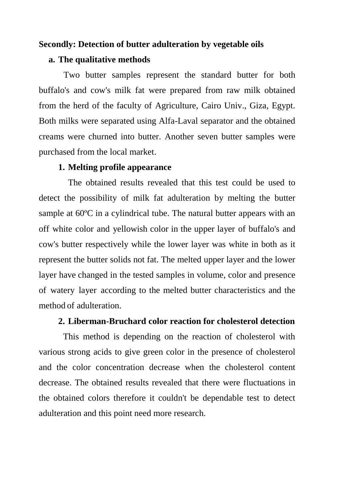#### **Secondly: Detection of butter adulteration by vegetable oils**

#### **a. The qualitative methods**

Two butter samples represent the standard butter for both buffalo's and cow's milk fat were prepared from raw milk obtained from the herd of the faculty of Agriculture, Cairo Univ., Giza, Egypt. Both milks were separated using Alfa-Laval separator and the obtained creams were churned into butter. Another seven butter samples were purchased from the local market.

#### **1. Melting profile appearance**

The obtained results revealed that this test could be used to detect the possibility of milk fat adulteration by melting the butter sample at 60ºC in a cylindrical tube. The natural butter appears with an off white color and yellowish color in the upper layer of buffalo's and cow's butter respectively while the lower layer was white in both as it represent the butter solids not fat. The melted upper layer and the lower layer have changed in the tested samples in volume, color and presence of watery layer according to the melted butter characteristics and the method of adulteration.

#### **2. Liberman-Bruchard color reaction for cholesterol detection**

This method is depending on the reaction of cholesterol with various strong acids to give green color in the presence of cholesterol and the color concentration decrease when the cholesterol content decrease. The obtained results revealed that there were fluctuations in the obtained colors therefore it couldn't be dependable test to detect adulteration and this point need more research.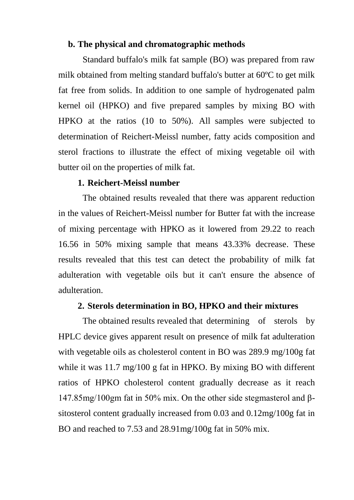#### **b. The physical and chromatographic methods**

Standard buffalo's milk fat sample (BO) was prepared from raw milk obtained from melting standard buffalo's butter at 60ºC to get milk fat free from solids. In addition to one sample of hydrogenated palm kernel oil (HPKO) and five prepared samples by mixing BO with HPKO at the ratios (10 to 50%). All samples were subjected to determination of Reichert-Meissl number, fatty acids composition and sterol fractions to illustrate the effect of mixing vegetable oil with butter oil on the properties of milk fat.

#### **1. Reichert-Meissl number**

The obtained results revealed that there was apparent reduction in the values of Reichert-Meissl number for Butter fat with the increase of mixing percentage with HPKO as it lowered from 29.22 to reach 16.56 in 50% mixing sample that means 43.33% decrease. These results revealed that this test can detect the probability of milk fat adulteration with vegetable oils but it can't ensure the absence of adulteration.

#### **2. Sterols determination in BO, HPKO and their mixtures**

The obtained results revealed that determining of sterols by HPLC device gives apparent result on presence of milk fat adulteration with vegetable oils as cholesterol content in BO was 289.9 mg/100g fat while it was 11.7 mg/100 g fat in HPKO. By mixing BO with different ratios of HPKO cholesterol content gradually decrease as it reach 147.85mg/100gm fat in 50% mix. On the other side stegmasterol and βsitosterol content gradually increased from 0.03 and 0.12mg/100g fat in BO and reached to 7.53 and 28.91mg/100g fat in 50% mix.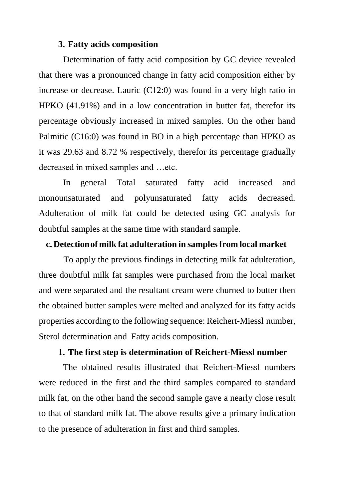### **3. Fatty acids composition**

Determination of fatty acid composition by GC device revealed that there was a pronounced change in fatty acid composition either by increase or decrease. Lauric (C12:0) was found in a very high ratio in HPKO (41.91%) and in a low concentration in butter fat, therefor its percentage obviously increased in mixed samples. On the other hand Palmitic (C16:0) was found in BO in a high percentage than HPKO as it was 29.63 and 8.72 % respectively, therefor its percentage gradually decreased in mixed samples and …etc.

In general Total saturated fatty acid increased and monounsaturated and polyunsaturated fatty acids decreased. Adulteration of milk fat could be detected using GC analysis for doubtful samples at the same time with standard sample.

#### **c. Detectionof milk fat adulteration in samplesfrom local market**

To apply the previous findings in detecting milk fat adulteration, three doubtful milk fat samples were purchased from the local market and were separated and the resultant cream were churned to butter then the obtained butter samples were melted and analyzed for its fatty acids properties according to the following sequence: Reichert-Miessl number, Sterol determination and Fatty acids composition.

## **1. The first step is determination of Reichert-Miessl number**

The obtained results illustrated that Reichert-Miessl numbers were reduced in the first and the third samples compared to standard milk fat, on the other hand the second sample gave a nearly close result to that of standard milk fat. The above results give a primary indication to the presence of adulteration in first and third samples.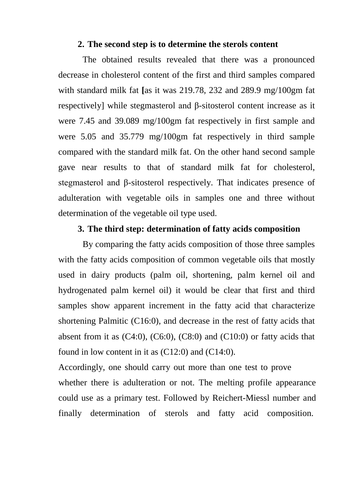#### **2. The second step is to determine the sterols content**

The obtained results revealed that there was a pronounced decrease in cholesterol content of the first and third samples compared with standard milk fat **[**as it was 219.78, 232 and 289.9 mg/100gm fat respectively] while stegmasterol and β-sitosterol content increase as it were 7.45 and 39.089 mg/100gm fat respectively in first sample and were 5.05 and 35.779 mg/100gm fat respectively in third sample compared with the standard milk fat. On the other hand second sample gave near results to that of standard milk fat for cholesterol, stegmasterol and β-sitosterol respectively. That indicates presence of adulteration with vegetable oils in samples one and three without determination of the vegetable oil type used.

#### **3. The third step: determination of fatty acids composition**

By comparing the fatty acids composition of those three samples with the fatty acids composition of common vegetable oils that mostly used in dairy products (palm oil, shortening, palm kernel oil and hydrogenated palm kernel oil) it would be clear that first and third samples show apparent increment in the fatty acid that characterize shortening Palmitic (C16:0), and decrease in the rest of fatty acids that absent from it as  $(C4:0)$ ,  $(C6:0)$ ,  $(C8:0)$  and  $(C10:0)$  or fatty acids that found in low content in it as  $(C12:0)$  and  $(C14:0)$ .

Accordingly, one should carry out more than one test to prove whether there is adulteration or not. The melting profile appearance could use as a primary test. Followed by Reichert-Miessl number and finally determination of sterols and fatty acid composition.